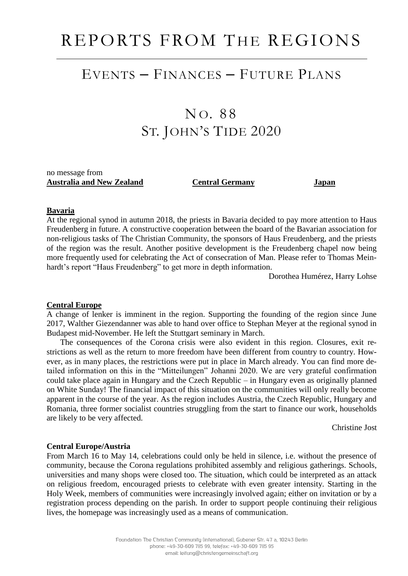# REPORTS FROM THE REGIONS

### EVENTS – FINANCES – FUTURE PLANS

## NO. 88 ST. JOHN'S TIDE 2020

no message from **Australia and New Zealand Central Germany Japan**

#### **Bavaria**

At the regional synod in autumn 2018, the priests in Bavaria decided to pay more attention to Haus Freudenberg in future. A constructive cooperation between the board of the Bavarian association for non-religious tasks of The Christian Community, the sponsors of Haus Freudenberg, and the priests of the region was the result. Another positive development is the Freudenberg chapel now being more frequently used for celebrating the Act of consecration of Man. Please refer to Thomas Meinhardt's report "Haus Freudenberg" to get more in depth information.

Dorothea Humérez, Harry Lohse

#### **Central Europe**

A change of lenker is imminent in the region. Supporting the founding of the region since June 2017, Walther Giezendanner was able to hand over office to Stephan Meyer at the regional synod in Budapest mid-November. He left the Stuttgart seminary in March.

The consequences of the Corona crisis were also evident in this region. Closures, exit restrictions as well as the return to more freedom have been different from country to country. However, as in many places, the restrictions were put in place in March already. You can find more detailed information on this in the "Mitteilungen" Johanni 2020. We are very grateful confirmation could take place again in Hungary and the Czech Republic – in Hungary even as originally planned on White Sunday! The financial impact of this situation on the communities will only really become apparent in the course of the year. As the region includes Austria, the Czech Republic, Hungary and Romania, three former socialist countries struggling from the start to finance our work, households are likely to be very affected.

Christine Jost

#### **Central Europe/Austria**

From March 16 to May 14, celebrations could only be held in silence, i.e. without the presence of community, because the Corona regulations prohibited assembly and religious gatherings. Schools, universities and many shops were closed too. The situation, which could be interpreted as an attack on religious freedom, encouraged priests to celebrate with even greater intensity. Starting in the Holy Week, members of communities were increasingly involved again; either on invitation or by a registration process depending on the parish. In order to support people continuing their religious lives, the homepage was increasingly used as a means of communication.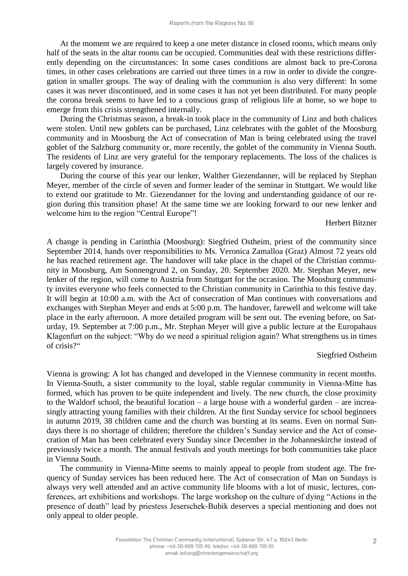At the moment we are required to keep a one meter distance in closed rooms, which means only half of the seats in the altar rooms can be occupied. Communities deal with these restrictions differently depending on the circumstances: In some cases conditions are almost back to pre-Corona times, in other cases celebrations are carried out three times in a row in order to divide the congregation in smaller groups. The way of dealing with the communion is also very different: In some cases it was never discontinued, and in some cases it has not yet been distributed. For many people the corona break seems to have led to a conscious grasp of religious life at home, so we hope to emerge from this crisis strengthened internally.

During the Christmas season, a break-in took place in the community of Linz and both chalices were stolen. Until new goblets can be purchased, Linz celebrates with the goblet of the Moosburg community and in Moosburg the Act of consecration of Man is being celebrated using the travel goblet of the Salzburg community or, more recently, the goblet of the community in Vienna South. The residents of Linz are very grateful for the temporary replacements. The loss of the chalices is largely covered by insurance.

During the course of this year our lenker, Walther Giezendanner, will be replaced by Stephan Meyer, member of the circle of seven and former leader of the seminar in Stuttgart. We would like to extend our gratitude to Mr. Giezendanner for the loving and understanding guidance of our region during this transition phase! At the same time we are looking forward to our new lenker and welcome him to the region "Central Europe"!

#### Herbert Bitzner

A change is pending in Carinthia (Moosburg): Siegfried Ostheim, priest of the community since September 2014, hands over responsibilities to Ms. Veronica Zamalloa (Graz) Almost 72 years old he has reached retirement age. The handover will take place in the chapel of the Christian community in Moosburg, Am Sonnengrund 2, on Sunday, 20. September 2020. Mr. Stephan Meyer, new lenker of the region, will come to Austria from Stuttgart for the occasion. The Moosburg community invites everyone who feels connected to the Christian community in Carinthia to this festive day. It will begin at 10:00 a.m. with the Act of consecration of Man continues with conversations and exchanges with Stephan Meyer and ends at 5:00 p.m. The handover, farewell and welcome will take place in the early afternoon. A more detailed program will be sent out. The evening before, on Saturday, 19. September at 7:00 p.m., Mr. Stephan Meyer will give a public lecture at the Europahaus Klagenfurt on the subject: "Why do we need a spiritual religion again? What strengthens us in times of crisis?"

#### Siegfried Ostheim

Vienna is growing: A lot has changed and developed in the Viennese community in recent months. In Vienna-South, a sister community to the loyal, stable regular community in Vienna-Mitte has formed, which has proven to be quite independent and lively. The new church, the close proximity to the Waldorf school, the beautiful location – a large house with a wonderful garden – are increasingly attracting young families with their children. At the first Sunday service for school beginners in autumn 2019, 38 children came and the church was bursting at its seams. Even on normal Sundays there is no shortage of children; therefore the children's Sunday service and the Act of consecration of Man has been celebrated every Sunday since December in the Johanneskirche instead of previously twice a month. The annual festivals and youth meetings for both communities take place in Vienna South.

The community in Vienna-Mitte seems to mainly appeal to people from student age. The frequency of Sunday services has been reduced here. The Act of consecration of Man on Sundays is always very well attended and an active community life blooms with a lot of music, lectures, conferences, art exhibitions and workshops. The large workshop on the culture of dying "Actions in the presence of death" lead by priestess Jeserschek-Bubik deserves a special mentioning and does not only appeal to older people.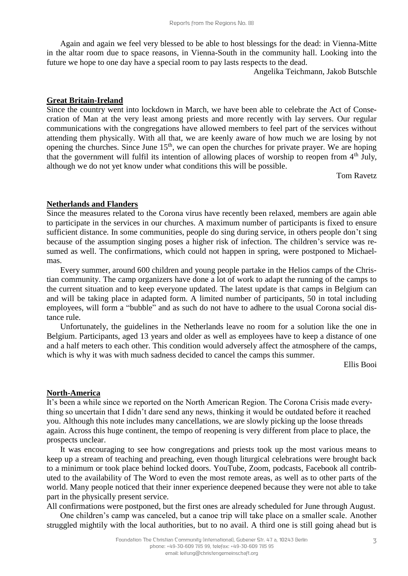Again and again we feel very blessed to be able to host blessings for the dead: in Vienna-Mitte in the altar room due to space reasons, in Vienna-South in the community hall. Looking into the future we hope to one day have a special room to pay lasts respects to the dead.

Angelika Teichmann, Jakob Butschle

#### **Great Britain-Ireland**

Since the country went into lockdown in March, we have been able to celebrate the Act of Consecration of Man at the very least among priests and more recently with lay servers. Our regular communications with the congregations have allowed members to feel part of the services without attending them physically. With all that, we are keenly aware of how much we are losing by not opening the churches. Since June  $15<sup>th</sup>$ , we can open the churches for private prayer. We are hoping that the government will fulfil its intention of allowing places of worship to reopen from  $4<sup>th</sup>$  July, although we do not yet know under what conditions this will be possible.

Tom Ravetz

#### **Netherlands and Flanders**

Since the measures related to the Corona virus have recently been relaxed, members are again able to participate in the services in our churches. A maximum number of participants is fixed to ensure sufficient distance. In some communities, people do sing during service, in others people don't sing because of the assumption singing poses a higher risk of infection. The children's service was resumed as well. The confirmations, which could not happen in spring, were postponed to Michaelmas.

Every summer, around 600 children and young people partake in the Helios camps of the Christian community. The camp organizers have done a lot of work to adapt the running of the camps to the current situation and to keep everyone updated. The latest update is that camps in Belgium can and will be taking place in adapted form. A limited number of participants, 50 in total including employees, will form a "bubble" and as such do not have to adhere to the usual Corona social distance rule.

Unfortunately, the guidelines in the Netherlands leave no room for a solution like the one in Belgium. Participants, aged 13 years and older as well as employees have to keep a distance of one and a half meters to each other. This condition would adversely affect the atmosphere of the camps, which is why it was with much sadness decided to cancel the camps this summer.

Ellis Booi

#### **North-America**

It's been a while since we reported on the North American Region. The Corona Crisis made everything so uncertain that I didn't dare send any news, thinking it would be outdated before it reached you. Although this note includes many cancellations, we are slowly picking up the loose threads again. Across this huge continent, the tempo of reopening is very different from place to place, the prospects unclear.

It was encouraging to see how congregations and priests took up the most various means to keep up a stream of teaching and preaching, even though liturgical celebrations were brought back to a minimum or took place behind locked doors. YouTube, Zoom, podcasts, Facebook all contributed to the availability of The Word to even the most remote areas, as well as to other parts of the world. Many people noticed that their inner experience deepened because they were not able to take part in the physically present service.

All confirmations were postponed, but the first ones are already scheduled for June through August. One children's camp was canceled, but a canoe trip will take place on a smaller scale. Another struggled mightily with the local authorities, but to no avail. A third one is still going ahead but is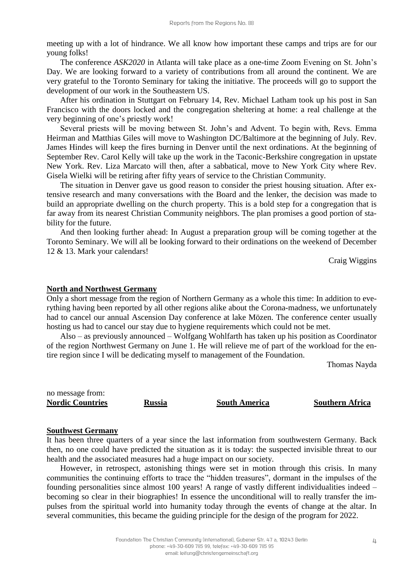meeting up with a lot of hindrance. We all know how important these camps and trips are for our young folks!

The conference *ASK2020* in Atlanta will take place as a one-time Zoom Evening on St. John's Day. We are looking forward to a variety of contributions from all around the continent. We are very grateful to the Toronto Seminary for taking the initiative. The proceeds will go to support the development of our work in the Southeastern US.

After his ordination in Stuttgart on February 14, Rev. Michael Latham took up his post in San Francisco with the doors locked and the congregation sheltering at home: a real challenge at the very beginning of one's priestly work!

Several priests will be moving between St. John's and Advent. To begin with, Revs. Emma Heirman and Matthias Giles will move to Washington DC/Baltimore at the beginning of July. Rev. James Hindes will keep the fires burning in Denver until the next ordinations. At the beginning of September Rev. Carol Kelly will take up the work in the Taconic-Berkshire congregation in upstate New York. Rev. Liza Marcato will then, after a sabbatical, move to New York City where Rev. Gisela Wielki will be retiring after fifty years of service to the Christian Community.

The situation in Denver gave us good reason to consider the priest housing situation. After extensive research and many conversations with the Board and the lenker, the decision was made to build an appropriate dwelling on the church property. This is a bold step for a congregation that is far away from its nearest Christian Community neighbors. The plan promises a good portion of stability for the future.

And then looking further ahead: In August a preparation group will be coming together at the Toronto Seminary. We will all be looking forward to their ordinations on the weekend of December 12 & 13. Mark your calendars!

Craig Wiggins

#### **North and Northwest Germany**

Only a short message from the region of Northern Germany as a whole this time: In addition to everything having been reported by all other regions alike about the Corona-madness, we unfortunately had to cancel our annual Ascension Day conference at lake Mözen. The conference center usually hosting us had to cancel our stay due to hygiene requirements which could not be met.

Also – as previously announced – Wolfgang Wohlfarth has taken up his position as Coordinator of the region Northwest Germany on June 1. He will relieve me of part of the workload for the entire region since I will be dedicating myself to management of the Foundation.

Thomas Nayda

no message from: **Nordic Countries Russia South America Southern Africa**

#### **Southwest Germany**

It has been three quarters of a year since the last information from southwestern Germany. Back then, no one could have predicted the situation as it is today: the suspected invisible threat to our health and the associated measures had a huge impact on our society.

However, in retrospect, astonishing things were set in motion through this crisis. In many communities the continuing efforts to trace the "hidden treasures", dormant in the impulses of the founding personalities since almost 100 years! A range of vastly different individualities indeed – becoming so clear in their biographies! In essence the unconditional will to really transfer the impulses from the spiritual world into humanity today through the events of change at the altar. In several communities, this became the guiding principle for the design of the program for 2022.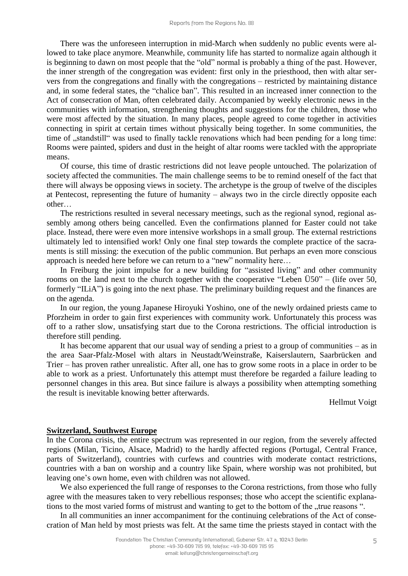There was the unforeseen interruption in mid-March when suddenly no public events were allowed to take place anymore. Meanwhile, community life has started to normalize again although it is beginning to dawn on most people that the "old" normal is probably a thing of the past. However, the inner strength of the congregation was evident: first only in the priesthood, then with altar servers from the congregations and finally with the congregations – restricted by maintaining distance and, in some federal states, the "chalice ban". This resulted in an increased inner connection to the Act of consecration of Man, often celebrated daily. Accompanied by weekly electronic news in the communities with information, strengthening thoughts and suggestions for the children, those who were most affected by the situation. In many places, people agreed to come together in activities connecting in spirit at certain times without physically being together. In some communities, the time of ,,standstill" was used to finally tackle renovations which had been pending for a long time: Rooms were painted, spiders and dust in the height of altar rooms were tackled with the appropriate means.

Of course, this time of drastic restrictions did not leave people untouched. The polarization of society affected the communities. The main challenge seems to be to remind oneself of the fact that there will always be opposing views in society. The archetype is the group of twelve of the disciples at Pentecost, representing the future of humanity – always two in the circle directly opposite each other…

The restrictions resulted in several necessary meetings, such as the regional synod, regional assembly among others being cancelled. Even the confirmations planned for Easter could not take place. Instead, there were even more intensive workshops in a small group. The external restrictions ultimately led to intensified work! Only one final step towards the complete practice of the sacraments is still missing: the execution of the public communion. But perhaps an even more conscious approach is needed here before we can return to a "new" normality here…

In Freiburg the joint impulse for a new building for "assisted living" and other community rooms on the land next to the church together with the cooperative "Leben  $\ddot{U}50"$  – (life over 50, formerly "ILiA") is going into the next phase. The preliminary building request and the finances are on the agenda.

In our region, the young Japanese Hiroyuki Yoshino, one of the newly ordained priests came to Pforzheim in order to gain first experiences with community work. Unfortunately this process was off to a rather slow, unsatisfying start due to the Corona restrictions. The official introduction is therefore still pending.

It has become apparent that our usual way of sending a priest to a group of communities – as in the area Saar-Pfalz-Mosel with altars in Neustadt/Weinstraße, Kaiserslautern, Saarbrücken and Trier – has proven rather unrealistic. After all, one has to grow some roots in a place in order to be able to work as a priest. Unfortunately this attempt must therefore be regarded a failure leading to personnel changes in this area. But since failure is always a possibility when attempting something the result is inevitable knowing better afterwards.

Hellmut Voigt

#### **Switzerland, Southwest Europe**

In the Corona crisis, the entire spectrum was represented in our region, from the severely affected regions (Milan, Ticino, Alsace, Madrid) to the hardly affected regions (Portugal, Central France, parts of Switzerland), countries with curfews and countries with moderate contact restrictions, countries with a ban on worship and a country like Spain, where worship was not prohibited, but leaving one's own home, even with children was not allowed.

We also experienced the full range of responses to the Corona restrictions, from those who fully agree with the measures taken to very rebellious responses; those who accept the scientific explanations to the most varied forms of mistrust and wanting to get to the bottom of the "true reasons".

In all communities an inner accompaniment for the continuing celebrations of the Act of consecration of Man held by most priests was felt. At the same time the priests stayed in contact with the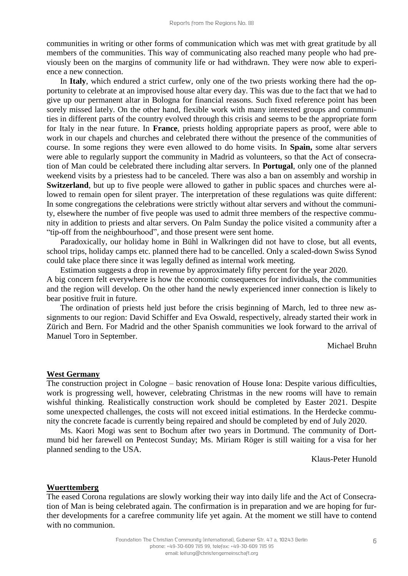communities in writing or other forms of communication which was met with great gratitude by all members of the communities. This way of communicating also reached many people who had previously been on the margins of community life or had withdrawn. They were now able to experience a new connection.

In **Italy**, which endured a strict curfew, only one of the two priests working there had the opportunity to celebrate at an improvised house altar every day. This was due to the fact that we had to give up our permanent altar in Bologna for financial reasons. Such fixed reference point has been sorely missed lately. On the other hand, flexible work with many interested groups and communities in different parts of the country evolved through this crisis and seems to be the appropriate form for Italy in the near future. In **France**, priests holding appropriate papers as proof, were able to work in our chapels and churches and celebrated there without the presence of the communities of course. In some regions they were even allowed to do home visits. In **Spain,** some altar servers were able to regularly support the community in Madrid as volunteers, so that the Act of consecration of Man could be celebrated there including altar servers. In **Portugal**, only one of the planned weekend visits by a priestess had to be canceled. There was also a ban on assembly and worship in **Switzerland**, but up to five people were allowed to gather in public spaces and churches were allowed to remain open for silent prayer. The interpretation of these regulations was quite different: In some congregations the celebrations were strictly without altar servers and without the community, elsewhere the number of five people was used to admit three members of the respective community in addition to priests and altar servers. On Palm Sunday the police visited a community after a "tip-off from the neighbourhood", and those present were sent home.

Paradoxically, our holiday home in Bühl in Walkringen did not have to close, but all events, school trips, holiday camps etc. planned there had to be cancelled. Only a scaled-down Swiss Synod could take place there since it was legally defined as internal work meeting.

Estimation suggests a drop in revenue by approximately fifty percent for the year 2020. A big concern felt everywhere is how the economic consequences for individuals, the communities and the region will develop. On the other hand the newly experienced inner connection is likely to bear positive fruit in future.

The ordination of priests held just before the crisis beginning of March, led to three new assignments to our region: David Schiffer and Eva Oswald, respectively, already started their work in Zürich and Bern. For Madrid and the other Spanish communities we look forward to the arrival of Manuel Toro in September.

Michael Bruhn

#### **West Germany**

The construction project in Cologne – basic renovation of House Iona: Despite various difficulties, work is progressing well, however, celebrating Christmas in the new rooms will have to remain wishful thinking. Realistically construction work should be completed by Easter 2021. Despite some unexpected challenges, the costs will not exceed initial estimations. In the Herdecke community the concrete facade is currently being repaired and should be completed by end of July 2020.

Ms. Kaori Mogi was sent to Bochum after two years in Dortmund. The community of Dortmund bid her farewell on Pentecost Sunday; Ms. Miriam Röger is still waiting for a visa for her planned sending to the USA.

Klaus-Peter Hunold

#### **Wuerttemberg**

The eased Corona regulations are slowly working their way into daily life and the Act of Consecration of Man is being celebrated again. The confirmation is in preparation and we are hoping for further developments for a carefree community life yet again. At the moment we still have to contend with no communion.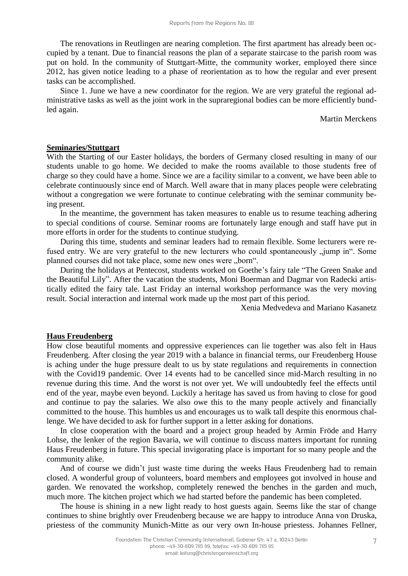The renovations in Reutlingen are nearing completion. The first apartment has already been occupied by a tenant. Due to financial reasons the plan of a separate staircase to the parish room was put on hold. In the community of Stuttgart-Mitte, the community worker, employed there since 2012, has given notice leading to a phase of reorientation as to how the regular and ever present tasks can be accomplished.

Since 1. June we have a new coordinator for the region. We are very grateful the regional administrative tasks as well as the joint work in the supraregional bodies can be more efficiently bundled again.

#### Martin Merckens

#### **Seminaries/Stuttgart**

With the Starting of our Easter holidays, the borders of Germany closed resulting in many of our students unable to go home. We decided to make the rooms available to those students free of charge so they could have a home. Since we are a facility similar to a convent, we have been able to celebrate continuously since end of March. Well aware that in many places people were celebrating without a congregation we were fortunate to continue celebrating with the seminar community being present.

In the meantime, the government has taken measures to enable us to resume teaching adhering to special conditions of course. Seminar rooms are fortunately large enough and staff have put in more efforts in order for the students to continue studying.

During this time, students and seminar leaders had to remain flexible. Some lecturers were refused entry. We are very grateful to the new lecturers who could spontaneously  $\mu$  jump in". Some planned courses did not take place, some new ones were "born".

During the holidays at Pentecost, students worked on Goethe's fairy tale "The Green Snake and the Beautiful Lily". After the vacation the students, Moni Boerman and Dagmar von Radecki artistically edited the fairy tale. Last Friday an internal workshop performance was the very moving result. Social interaction and internal work made up the most part of this period.

Xenia Medvedeva and Mariano Kasanetz

#### **Haus Freudenberg**

How close beautiful moments and oppressive experiences can lie together was also felt in Haus Freudenberg. After closing the year 2019 with a balance in financial terms, our Freudenberg House is aching under the huge pressure dealt to us by state regulations and requirements in connection with the Covid19 pandemic. Over 14 events had to be cancelled since mid-March resulting in no revenue during this time. And the worst is not over yet. We will undoubtedly feel the effects until end of the year, maybe even beyond. Luckily a heritage has saved us from having to close for good and continue to pay the salaries. We also owe this to the many people actively and financially committed to the house. This humbles us and encourages us to walk tall despite this enormous challenge. We have decided to ask for further support in a letter asking for donations.

In close cooperation with the board and a project group headed by Armin Fröde and Harry Lohse, the lenker of the region Bavaria, we will continue to discuss matters important for running Haus Freudenberg in future. This special invigorating place is important for so many people and the community alike.

And of course we didn't just waste time during the weeks Haus Freudenberg had to remain closed. A wonderful group of volunteers, board members and employees got involved in house and garden. We renovated the workshop, completely renewed the benches in the garden and much, much more. The kitchen project which we had started before the pandemic has been completed.

The house is shining in a new light ready to host guests again. Seems like the star of change continues to shine brightly over Freudenberg because we are happy to introduce Anna von Druska, priestess of the community Munich-Mitte as our very own In-house priestess. Johannes Fellner,